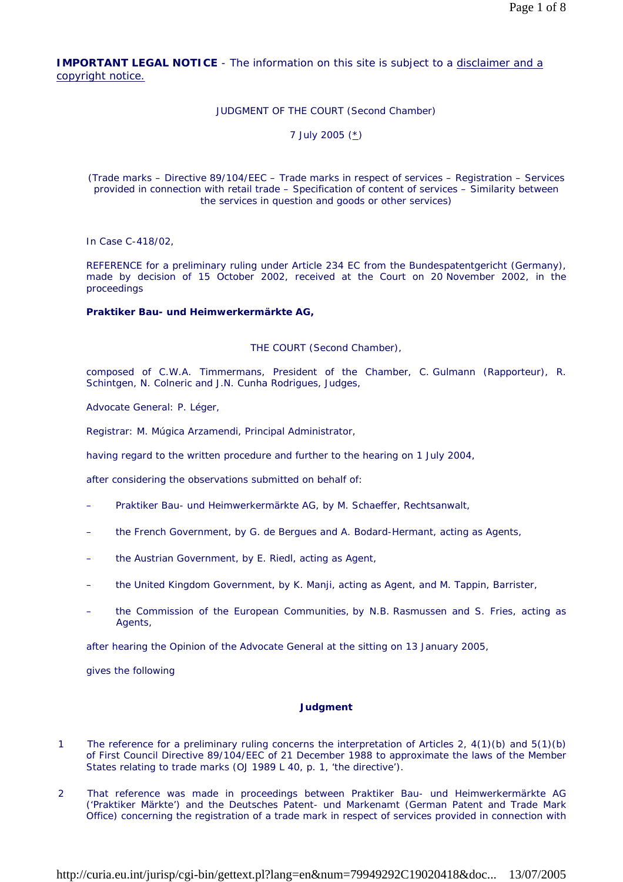**IMPORTANT LEGAL NOTICE** - The information on this site is subject to a disclaimer and a copyright notice.

# JUDGMENT OF THE COURT (Second Chamber)

7 July 2005 (\*)

(Trade marks – Directive 89/104/EEC – Trade marks in respect of services – Registration – Services provided in connection with retail trade – Specification of content of services – Similarity between the services in question and goods or other services)

In Case C-418/02,

REFERENCE for a preliminary ruling under Article 234 EC from the Bundespatentgericht (Germany), made by decision of 15 October 2002, received at the Court on 20 November 2002, in the proceedings

# **Praktiker Bau- und Heimwerkermärkte AG,**

THE COURT (Second Chamber),

composed of C.W.A. Timmermans, President of the Chamber, C. Gulmann (Rapporteur), R. Schintgen, N. Colneric and J.N. Cunha Rodrigues, Judges,

Advocate General: P. Léger,

Registrar: M. Múgica Arzamendi, Principal Administrator,

having regard to the written procedure and further to the hearing on 1 July 2004,

after considering the observations submitted on behalf of:

- Praktiker Bau- und Heimwerkermärkte AG, by M. Schaeffer, Rechtsanwalt,
- the French Government, by G. de Bergues and A. Bodard-Hermant, acting as Agents,
- the Austrian Government, by E. Riedl, acting as Agent,
- the United Kingdom Government, by K. Manji, acting as Agent, and M. Tappin, Barrister,
- the Commission of the European Communities, by N.B. Rasmussen and S. Fries, acting as Agents,

after hearing the Opinion of the Advocate General at the sitting on 13 January 2005,

gives the following

#### **Judgment**

- 1 The reference for a preliminary ruling concerns the interpretation of Articles 2, 4(1)(b) and 5(1)(b) of First Council Directive 89/104/EEC of 21 December 1988 to approximate the laws of the Member States relating to trade marks (OJ 1989 L 40, p. 1, 'the directive').
- 2 That reference was made in proceedings between Praktiker Bau- und Heimwerkermärkte AG ('Praktiker Märkte') and the Deutsches Patent- und Markenamt (German Patent and Trade Mark Office) concerning the registration of a trade mark in respect of services provided in connection with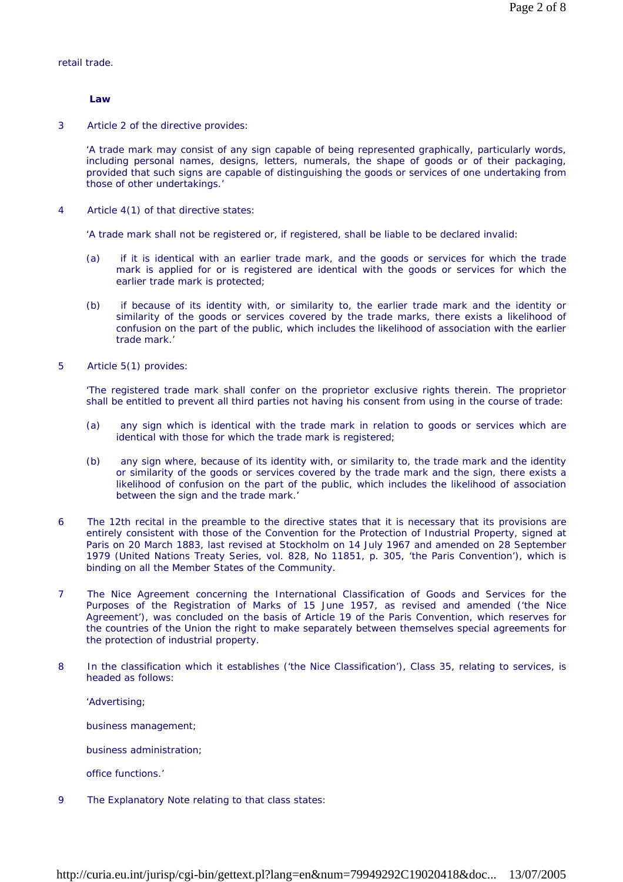retail trade.

 **Law** 

3 Article 2 of the directive provides:

'A trade mark may consist of any sign capable of being represented graphically, particularly words, including personal names, designs, letters, numerals, the shape of goods or of their packaging, provided that such signs are capable of distinguishing the goods or services of one undertaking from those of other undertakings.'

4 Article 4(1) of that directive states:

'A trade mark shall not be registered or, if registered, shall be liable to be declared invalid:

- (a) if it is identical with an earlier trade mark, and the goods or services for which the trade mark is applied for or is registered are identical with the goods or services for which the earlier trade mark is protected;
- (b) if because of its identity with, or similarity to, the earlier trade mark and the identity or similarity of the goods or services covered by the trade marks, there exists a likelihood of confusion on the part of the public, which includes the likelihood of association with the earlier trade mark.'
- 5 Article 5(1) provides:

'The registered trade mark shall confer on the proprietor exclusive rights therein. The proprietor shall be entitled to prevent all third parties not having his consent from using in the course of trade:

- (a) any sign which is identical with the trade mark in relation to goods or services which are identical with those for which the trade mark is registered;
- (b) any sign where, because of its identity with, or similarity to, the trade mark and the identity or similarity of the goods or services covered by the trade mark and the sign, there exists a likelihood of confusion on the part of the public, which includes the likelihood of association between the sign and the trade mark.'
- 6 The 12th recital in the preamble to the directive states that it is necessary that its provisions are entirely consistent with those of the Convention for the Protection of Industrial Property, signed at Paris on 20 March 1883, last revised at Stockholm on 14 July 1967 and amended on 28 September 1979 (*United Nations Treaty Series*, vol. 828, No 11851, p. 305, 'the Paris Convention'), which is binding on all the Member States of the Community.
- 7 The Nice Agreement concerning the International Classification of Goods and Services for the Purposes of the Registration of Marks of 15 June 1957, as revised and amended ('the Nice Agreement'), was concluded on the basis of Article 19 of the Paris Convention, which reserves for the countries of the Union the right to make separately between themselves special agreements for the protection of industrial property.
- 8 In the classification which it establishes ('the Nice Classification'), Class 35, relating to services, is headed as follows:

'Advertising;

business management;

business administration;

office functions.'

9 The Explanatory Note relating to that class states: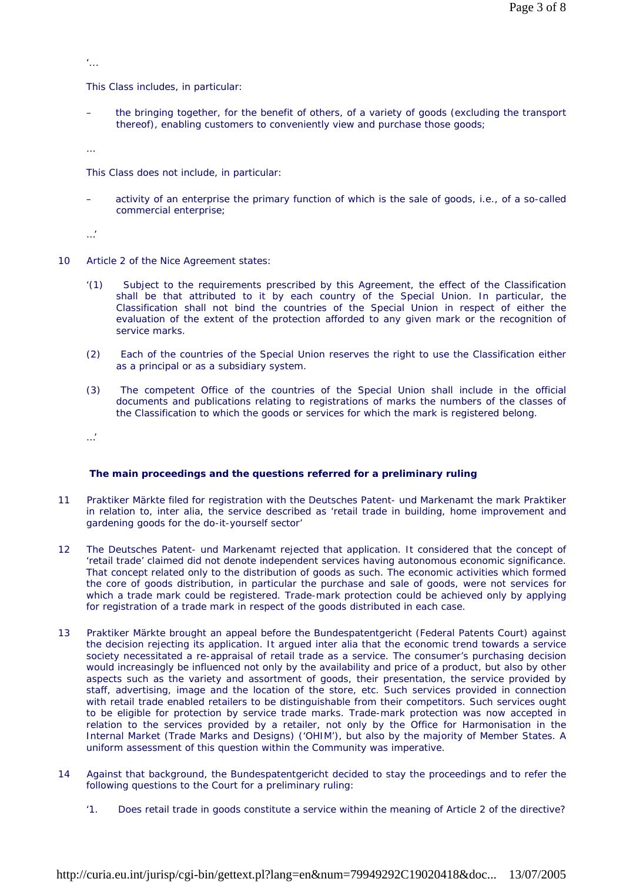'...

This Class includes, in particular:

– the bringing together, for the benefit of others, of a variety of goods (excluding the transport thereof), enabling customers to conveniently view and purchase those goods;

…

This Class does not include, in particular:

activity of an enterprise the primary function of which is the sale of goods, i.e., of a so-called commercial enterprise;

…'

- 10 Article 2 of the Nice Agreement states:
	- '(1) Subject to the requirements prescribed by this Agreement, the effect of the Classification shall be that attributed to it by each country of the Special Union. In particular, the Classification shall not bind the countries of the Special Union in respect of either the evaluation of the extent of the protection afforded to any given mark or the recognition of service marks.
	- (2) Each of the countries of the Special Union reserves the right to use the Classification either as a principal or as a subsidiary system.
	- (3) The competent Office of the countries of the Special Union shall include in the official documents and publications relating to registrations of marks the numbers of the classes of the Classification to which the goods or services for which the mark is registered belong.

…'

# **The main proceedings and the questions referred for a preliminary ruling**

- 11 Praktiker Märkte filed for registration with the Deutsches Patent- und Markenamt the mark Praktiker in relation to, inter alia, the service described as 'retail trade in building, home improvement and gardening goods for the do-it-yourself sector'
- 12 The Deutsches Patent- und Markenamt rejected that application. It considered that the concept of 'retail trade' claimed did not denote independent services having autonomous economic significance. That concept related only to the distribution of goods as such. The economic activities which formed the core of goods distribution, in particular the purchase and sale of goods, were not services for which a trade mark could be registered. Trade-mark protection could be achieved only by applying for registration of a trade mark in respect of the goods distributed in each case.
- 13 Praktiker Märkte brought an appeal before the Bundespatentgericht (Federal Patents Court) against the decision rejecting its application. It argued inter alia that the economic trend towards a service society necessitated a re-appraisal of retail trade as a service. The consumer's purchasing decision would increasingly be influenced not only by the availability and price of a product, but also by other aspects such as the variety and assortment of goods, their presentation, the service provided by staff, advertising, image and the location of the store, etc. Such services provided in connection with retail trade enabled retailers to be distinguishable from their competitors. Such services ought to be eligible for protection by service trade marks. Trade-mark protection was now accepted in relation to the services provided by a retailer, not only by the Office for Harmonisation in the Internal Market (Trade Marks and Designs) ('OHIM'), but also by the majority of Member States. A uniform assessment of this question within the Community was imperative.
- 14 Against that background, the Bundespatentgericht decided to stay the proceedings and to refer the following questions to the Court for a preliminary ruling:
	- '1. Does retail trade in goods constitute a service within the meaning of Article 2 of the directive?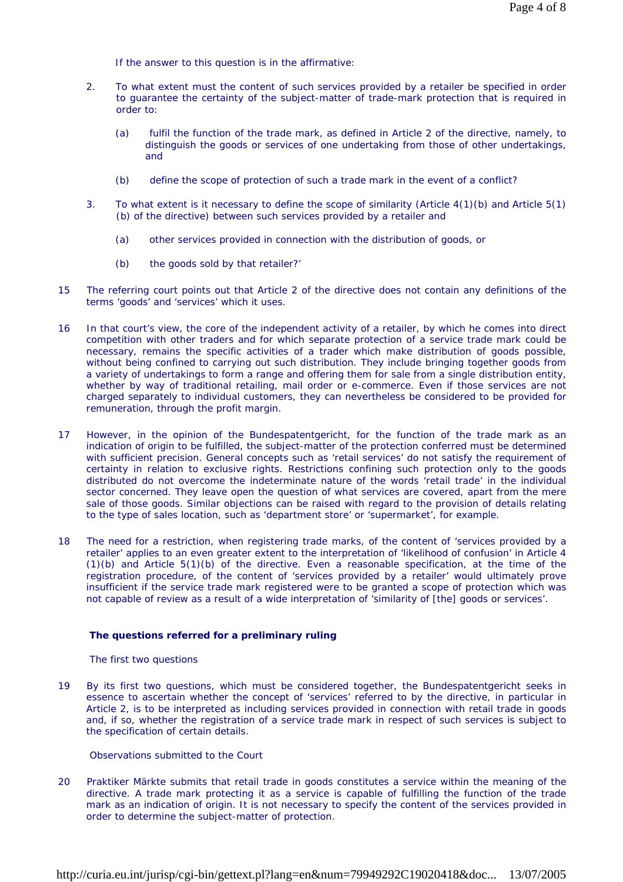If the answer to this question is in the affirmative:

- 2. To what extent must the content of such services provided by a retailer be specified in order to guarantee the certainty of the subject-matter of trade-mark protection that is required in order to:
	- (a) fulfil the function of the trade mark, as defined in Article 2 of the directive, namely, to distinguish the goods or services of one undertaking from those of other undertakings, and
	- (b) define the scope of protection of such a trade mark in the event of a conflict?
- 3. To what extent is it necessary to define the scope of similarity (Article 4(1)(b) and Article 5(1) (b) of the directive) between such services provided by a retailer and
	- (a) other services provided in connection with the distribution of goods, or
	- (b) the goods sold by that retailer?'
- 15 The referring court points out that Article 2 of the directive does not contain any definitions of the terms 'goods' and 'services' which it uses.
- 16 In that court's view, the core of the independent activity of a retailer, by which he comes into direct competition with other traders and for which separate protection of a service trade mark could be necessary, remains the specific activities of a trader which make distribution of goods possible, without being confined to carrying out such distribution. They include bringing together goods from a variety of undertakings to form a range and offering them for sale from a single distribution entity, whether by way of traditional retailing, mail order or e-commerce. Even if those services are not charged separately to individual customers, they can nevertheless be considered to be provided for remuneration, through the profit margin.
- 17 However, in the opinion of the Bundespatentgericht, for the function of the trade mark as an indication of origin to be fulfilled, the subject-matter of the protection conferred must be determined with sufficient precision. General concepts such as 'retail services' do not satisfy the requirement of certainty in relation to exclusive rights. Restrictions confining such protection only to the goods distributed do not overcome the indeterminate nature of the words 'retail trade' in the individual sector concerned. They leave open the question of what services are covered, apart from the mere sale of those goods. Similar objections can be raised with regard to the provision of details relating to the type of sales location, such as 'department store' or 'supermarket', for example.
- 18 The need for a restriction, when registering trade marks, of the content of 'services provided by a retailer' applies to an even greater extent to the interpretation of 'likelihood of confusion' in Article 4 (1)(b) and Article 5(1)(b) of the directive. Even a reasonable specification, at the time of the registration procedure, of the content of 'services provided by a retailer' would ultimately prove insufficient if the service trade mark registered were to be granted a scope of protection which was not capable of review as a result of a wide interpretation of 'similarity of [the] goods or services'.

# **The questions referred for a preliminary ruling**

# *The first two questions*

19 By its first two questions, which must be considered together, the Bundespatentgericht seeks in essence to ascertain whether the concept of 'services' referred to by the directive, in particular in Article 2, is to be interpreted as including services provided in connection with retail trade in goods and, if so, whether the registration of a service trade mark in respect of such services is subject to the specification of certain details.

Observations submitted to the Court

20 Praktiker Märkte submits that retail trade in goods constitutes a service within the meaning of the directive. A trade mark protecting it as a service is capable of fulfilling the function of the trade mark as an indication of origin. It is not necessary to specify the content of the services provided in order to determine the subject-matter of protection.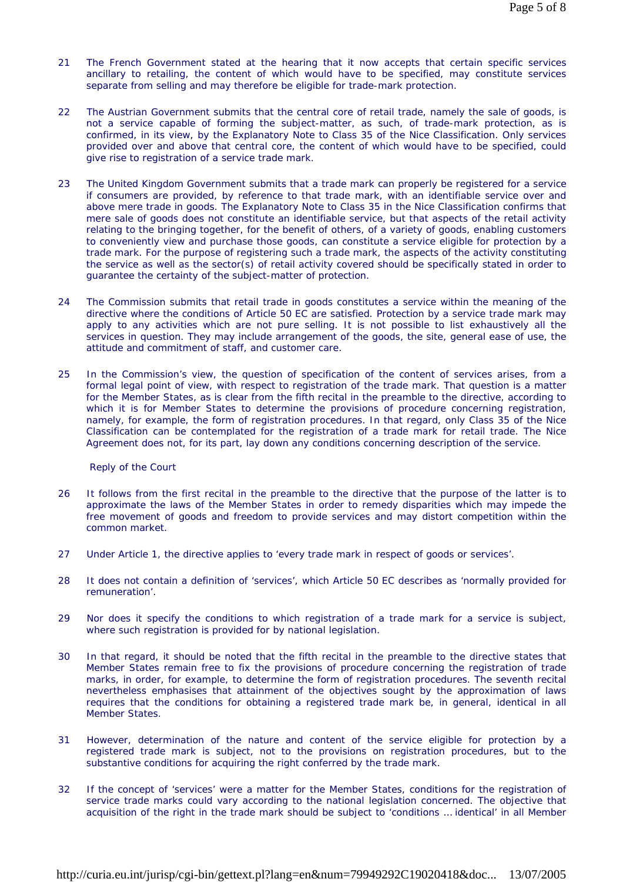- 21 The French Government stated at the hearing that it now accepts that certain specific services ancillary to retailing, the content of which would have to be specified, may constitute services separate from selling and may therefore be eligible for trade-mark protection.
- 22 The Austrian Government submits that the central core of retail trade, namely the sale of goods, is not a service capable of forming the subject-matter, as such, of trade-mark protection, as is confirmed, in its view, by the Explanatory Note to Class 35 of the Nice Classification. Only services provided over and above that central core, the content of which would have to be specified, could give rise to registration of a service trade mark.
- 23 The United Kingdom Government submits that a trade mark can properly be registered for a service if consumers are provided, by reference to that trade mark, with an identifiable service over and above mere trade in goods. The Explanatory Note to Class 35 in the Nice Classification confirms that mere sale of goods does not constitute an identifiable service, but that aspects of the retail activity relating to the bringing together, for the benefit of others, of a variety of goods, enabling customers to conveniently view and purchase those goods, can constitute a service eligible for protection by a trade mark. For the purpose of registering such a trade mark, the aspects of the activity constituting the service as well as the sector(s) of retail activity covered should be specifically stated in order to guarantee the certainty of the subject-matter of protection.
- 24 The Commission submits that retail trade in goods constitutes a service within the meaning of the directive where the conditions of Article 50 EC are satisfied. Protection by a service trade mark may apply to any activities which are not pure selling. It is not possible to list exhaustively all the services in question. They may include arrangement of the goods, the site, general ease of use, the attitude and commitment of staff, and customer care.
- 25 In the Commission's view, the question of specification of the content of services arises, from a formal legal point of view, with respect to registration of the trade mark. That question is a matter for the Member States, as is clear from the fifth recital in the preamble to the directive, according to which it is for Member States to determine the provisions of procedure concerning registration, namely, for example, the form of registration procedures. In that regard, only Class 35 of the Nice Classification can be contemplated for the registration of a trade mark for retail trade. The Nice Agreement does not, for its part, lay down any conditions concerning description of the service.

Reply of the Court

- 26 It follows from the first recital in the preamble to the directive that the purpose of the latter is to approximate the laws of the Member States in order to remedy disparities which may impede the free movement of goods and freedom to provide services and may distort competition within the common market.
- 27 Under Article 1, the directive applies to 'every trade mark in respect of goods or services'.
- 28 It does not contain a definition of 'services', which Article 50 EC describes as 'normally provided for remuneration'.
- 29 Nor does it specify the conditions to which registration of a trade mark for a service is subject, where such registration is provided for by national legislation.
- 30 In that regard, it should be noted that the fifth recital in the preamble to the directive states that Member States remain free to fix the provisions of procedure concerning the registration of trade marks, in order, for example, to determine the form of registration procedures. The seventh recital nevertheless emphasises that attainment of the objectives sought by the approximation of laws requires that the conditions for obtaining a registered trade mark be, in general, identical in all Member States.
- 31 However, determination of the nature and content of the service eligible for protection by a registered trade mark is subject, not to the provisions on registration procedures, but to the substantive conditions for acquiring the right conferred by the trade mark.
- 32 If the concept of 'services' were a matter for the Member States, conditions for the registration of service trade marks could vary according to the national legislation concerned. The objective that acquisition of the right in the trade mark should be subject to 'conditions … identical' in all Member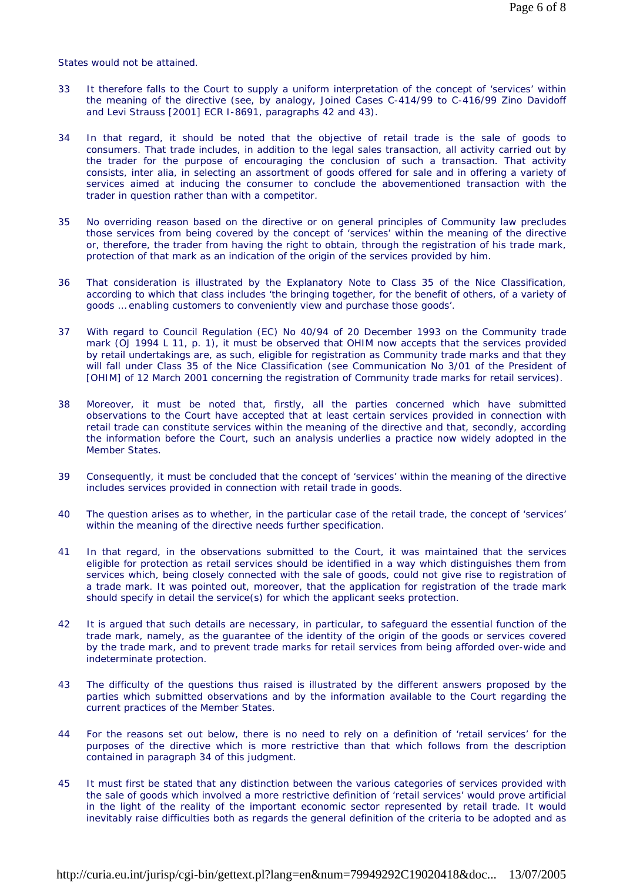States would not be attained.

- 33 It therefore falls to the Court to supply a uniform interpretation of the concept of 'services' within the meaning of the directive (see, by analogy, Joined Cases C-414/99 to C-416/99 *Zino Davidoff and Levi Strauss* [2001] ECR I-8691, paragraphs 42 and 43).
- 34 In that regard, it should be noted that the objective of retail trade is the sale of goods to consumers. That trade includes, in addition to the legal sales transaction, all activity carried out by the trader for the purpose of encouraging the conclusion of such a transaction. That activity consists, inter alia, in selecting an assortment of goods offered for sale and in offering a variety of services aimed at inducing the consumer to conclude the abovementioned transaction with the trader in question rather than with a competitor.
- 35 No overriding reason based on the directive or on general principles of Community law precludes those services from being covered by the concept of 'services' within the meaning of the directive or, therefore, the trader from having the right to obtain, through the registration of his trade mark, protection of that mark as an indication of the origin of the services provided by him.
- 36 That consideration is illustrated by the Explanatory Note to Class 35 of the Nice Classification, according to which that class includes 'the bringing together, for the benefit of others, of a variety of goods … enabling customers to conveniently view and purchase those goods'.
- 37 With regard to Council Regulation (EC) No 40/94 of 20 December 1993 on the Community trade mark (OJ 1994 L 11, p. 1), it must be observed that OHIM now accepts that the services provided by retail undertakings are, as such, eligible for registration as Community trade marks and that they will fall under Class 35 of the Nice Classification (see Communication No 3/01 of the President of [OHIM] of 12 March 2001 concerning the registration of Community trade marks for retail services).
- 38 Moreover, it must be noted that, firstly, all the parties concerned which have submitted observations to the Court have accepted that at least certain services provided in connection with retail trade can constitute services within the meaning of the directive and that, secondly, according the information before the Court, such an analysis underlies a practice now widely adopted in the Member States.
- 39 Consequently, it must be concluded that the concept of 'services' within the meaning of the directive includes services provided in connection with retail trade in goods.
- 40 The question arises as to whether, in the particular case of the retail trade, the concept of 'services' within the meaning of the directive needs further specification.
- 41 In that regard, in the observations submitted to the Court, it was maintained that the services eligible for protection as retail services should be identified in a way which distinguishes them from services which, being closely connected with the sale of goods, could not give rise to registration of a trade mark. It was pointed out, moreover, that the application for registration of the trade mark should specify in detail the service(s) for which the applicant seeks protection.
- 42 It is argued that such details are necessary, in particular, to safeguard the essential function of the trade mark, namely, as the guarantee of the identity of the origin of the goods or services covered by the trade mark, and to prevent trade marks for retail services from being afforded over-wide and indeterminate protection.
- 43 The difficulty of the questions thus raised is illustrated by the different answers proposed by the parties which submitted observations and by the information available to the Court regarding the current practices of the Member States.
- 44 For the reasons set out below, there is no need to rely on a definition of 'retail services' for the purposes of the directive which is more restrictive than that which follows from the description contained in paragraph 34 of this judgment.
- 45 It must first be stated that any distinction between the various categories of services provided with the sale of goods which involved a more restrictive definition of 'retail services' would prove artificial in the light of the reality of the important economic sector represented by retail trade. It would inevitably raise difficulties both as regards the general definition of the criteria to be adopted and as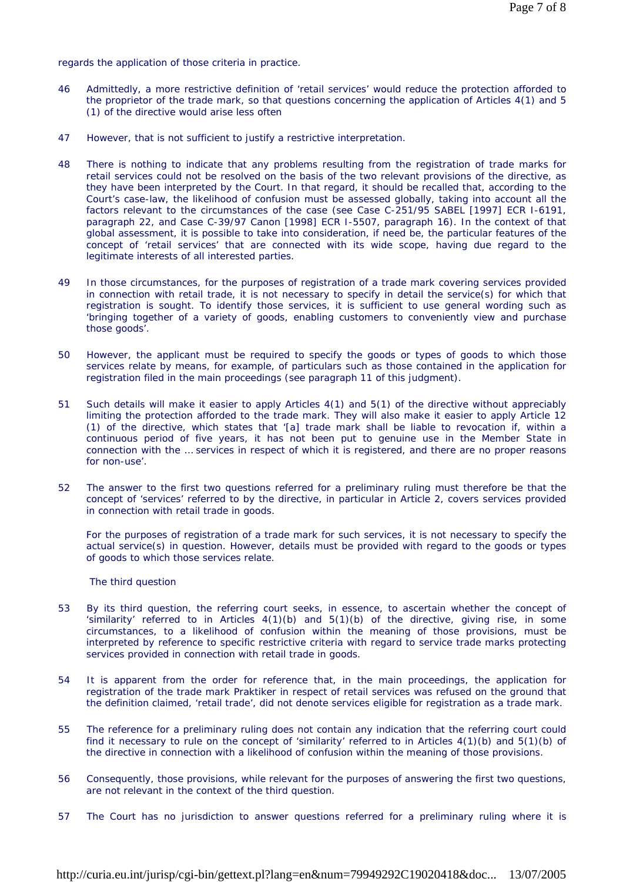regards the application of those criteria in practice.

- 46 Admittedly, a more restrictive definition of 'retail services' would reduce the protection afforded to the proprietor of the trade mark, so that questions concerning the application of Articles 4(1) and 5 (1) of the directive would arise less often
- 47 However, that is not sufficient to justify a restrictive interpretation.
- 48 There is nothing to indicate that any problems resulting from the registration of trade marks for retail services could not be resolved on the basis of the two relevant provisions of the directive, as they have been interpreted by the Court. In that regard, it should be recalled that, according to the Court's case-law, the likelihood of confusion must be assessed globally, taking into account all the factors relevant to the circumstances of the case (see Case C-251/95 *SABEL* [1997] ECR I-6191, paragraph 22, and Case C-39/97 *Canon* [1998] ECR I-5507, paragraph 16). In the context of that global assessment, it is possible to take into consideration, if need be, the particular features of the concept of 'retail services' that are connected with its wide scope, having due regard to the legitimate interests of all interested parties.
- 49 In those circumstances, for the purposes of registration of a trade mark covering services provided in connection with retail trade, it is not necessary to specify in detail the service(s) for which that registration is sought. To identify those services, it is sufficient to use general wording such as 'bringing together of a variety of goods, enabling customers to conveniently view and purchase those goods'.
- 50 However, the applicant must be required to specify the goods or types of goods to which those services relate by means, for example, of particulars such as those contained in the application for registration filed in the main proceedings (see paragraph 11 of this judgment).
- 51 Such details will make it easier to apply Articles 4(1) and 5(1) of the directive without appreciably limiting the protection afforded to the trade mark. They will also make it easier to apply Article 12 (1) of the directive, which states that '[a] trade mark shall be liable to revocation if, within a continuous period of five years, it has not been put to genuine use in the Member State in connection with the … services in respect of which it is registered, and there are no proper reasons for non-use'.
- 52 The answer to the first two questions referred for a preliminary ruling must therefore be that the concept of 'services' referred to by the directive, in particular in Article 2, covers services provided in connection with retail trade in goods.

For the purposes of registration of a trade mark for such services, it is not necessary to specify the actual service(s) in question. However, details must be provided with regard to the goods or types of goods to which those services relate.

# *The third question*

- 53 By its third question, the referring court seeks, in essence, to ascertain whether the concept of 'similarity' referred to in Articles  $4(1)(b)$  and  $5(1)(b)$  of the directive, giving rise, in some circumstances, to a likelihood of confusion within the meaning of those provisions, must be interpreted by reference to specific restrictive criteria with regard to service trade marks protecting services provided in connection with retail trade in goods.
- 54 It is apparent from the order for reference that, in the main proceedings, the application for registration of the trade mark Praktiker in respect of retail services was refused on the ground that the definition claimed, 'retail trade', did not denote services eligible for registration as a trade mark.
- 55 The reference for a preliminary ruling does not contain any indication that the referring court could find it necessary to rule on the concept of 'similarity' referred to in Articles 4(1)(b) and 5(1)(b) of the directive in connection with a likelihood of confusion within the meaning of those provisions.
- 56 Consequently, those provisions, while relevant for the purposes of answering the first two questions, are not relevant in the context of the third question.
- 57 The Court has no jurisdiction to answer questions referred for a preliminary ruling where it is